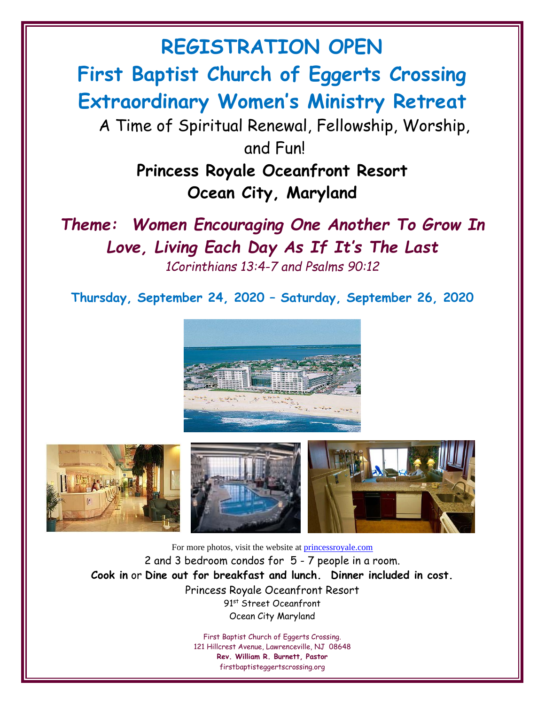**First Baptist Church of Eggerts Crossing Extraordinary Women's Ministry Retreat**

**REGISTRATION OPEN**

A Time of Spiritual Renewal, Fellowship, Worship, and Fun!

> **Princess Royale Oceanfront Resort Ocean City, Maryland**

*Theme: Women Encouraging One Another To Grow In Love, Living Each Day As If It' s The Last 1Corinthians 13:4-7 and Psalms 90:12*

**Thursday, September 24, 2020 – Saturday, September 26, 2020**





For more photos, visit the website at [princessroyale.com](http://www.princessroyale.com/) 2 and 3 bedroom condos for 5 - 7 people in a room. **Cook in** or **Dine out for breakfast and lunch. Dinner included in cost.** Princess Royale Oceanfront Resort 91st Street Oceanfront Ocean City Maryland

> First Baptist Church of Eggerts Crossing. 121 Hillcrest Avenue, Lawrenceville, NJ 08648 **Rev. William R. Burnett, Pastor** firstbaptisteggertscrossing.org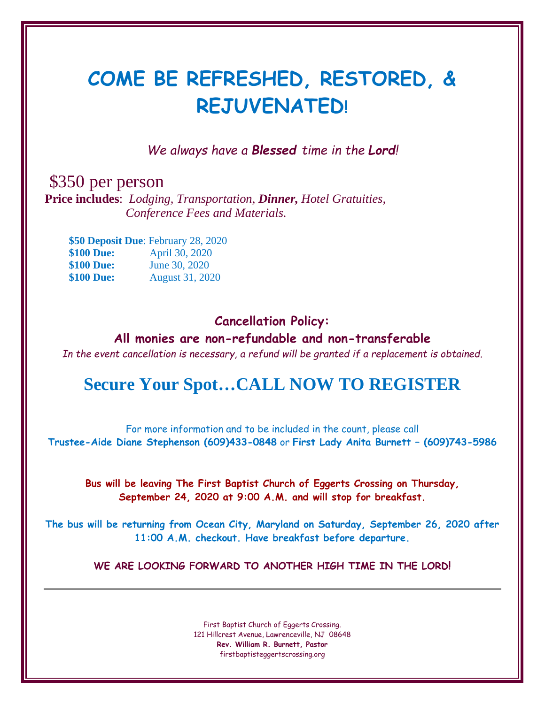## **COME BE REFRESHED, RESTORED, & REJUVENATED!**

*We always have a Blessed time in the Lord!*

\$350 per person

**Price includes**: *Lodging, Transportation, Dinner, Hotel Gratuities, Conference Fees and Materials.*

 **\$50 Deposit Due**: February 28, 2020 **\$100 Due:** April 30, 2020 **\$100 Due:** June 30, 2020 **\$100 Due:** August 31, 2020

## **Cancellation Policy:**

**All monies are non-refundable and non-transferable**

*In the event cancellation is necessary, a refund will be granted if a replacement is obtained.*

## **Secure Your Spot…CALL NOW TO REGISTER**

For more information and to be included in the count, please call **Trustee-Aide Diane Stephenson (609)433-0848** or **First Lady Anita Burnett – (609)743-5986**

**Bus will be leaving The First Baptist Church of Eggerts Crossing on Thursday, September 24, 2020 at 9:00 A.M. and will stop for breakfast.**

**The bus will be returning from Ocean City, Maryland on Saturday, September 26, 2020 after 11:00 A.M. checkout. Have breakfast before departure.**

**WE ARE LOOKING FORWARD TO ANOTHER HIGH TIME IN THE LORD!**

First Baptist Church of Eggerts Crossing. 121 Hillcrest Avenue, Lawrenceville, NJ 08648 **Rev. William R. Burnett, Pastor** firstbaptisteggertscrossing.org